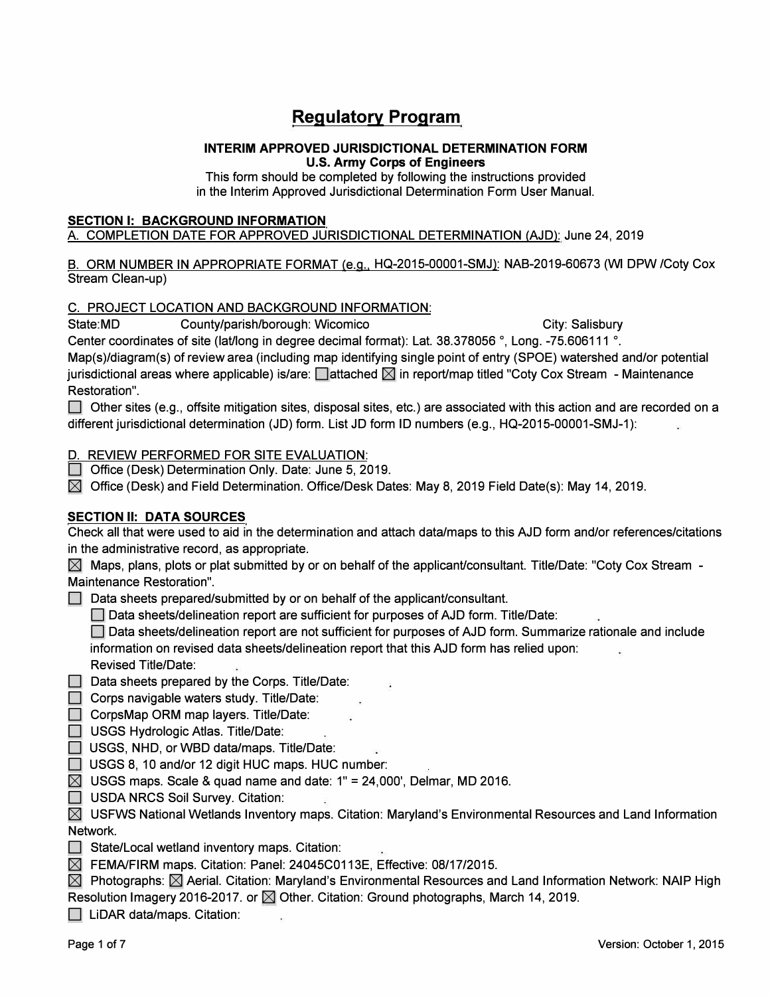# **Regulatory Program**

#### **INTERIM APPROVED JURISDICTIONAL DETERMINATION FORM U.S. Army Corps of Engineers**

This form should be completed by following the instructions provided in the Interim Approved Jurisdictional Determination Form User Manual.

#### **SECTION I: BACKGROUND INFORMATION**

A COMPLETION DATE FOR APPROVED JURISDICTIONAL DETERMINATION (AJD): June 24, 2019

B. ORM NUMBER IN APPROPRIATE FORMAT (e.g., HQ-2015-00001-SMJ): NAB-2019-60673 (WI DPW /Coty Cox Stream Clean-up)

#### C. PROJECT LOCATION AND BACKGROUND INFORMATION:

State:MD County/parish/borough: Wicomico City: Salisbury City: Salisbury

Center coordinates of site (lat/long in degree decimal format): Lat. 38.378056 °, Long. -75.606111 °.

Map(s)/diagram(s) of review area (including map identifying single point of entry (SPOE) watershed and/or potential jurisdictional areas where applicable) is/are:  $\Box$ attached  $\boxtimes$  in report/map titled "Coty Cox Stream - Maintenance Restoration".

 $\Box$  Other sites (e.g., offsite mitigation sites, disposal sites, etc.) are associated with this action and are recorded on a different jurisdictional determination (JD) form. List JD form ID numbers (e.g., HQ-2015-00001-SMJ-1):

D. REVIEW PERFORMED FOR SITE EVALUATION:

Office (Desk) Determination Only. Date: June 5, 2019.

 $\boxtimes$  Office (Desk) and Field Determination. Office/Desk Dates: May 8, 2019 Field Date(s): May 14, 2019.

#### **SECTION II: DATA SOURCES**

Check all that were used to aid in the determination and attach data/maps to this AJD form and/or references/citations in the administrative record, as appropriate.

 $\boxtimes$  Maps, plans, plots or plat submitted by or on behalf of the applicant/consultant. Title/Date: "Coty Cox Stream -Maintenance Restoration".

 $\Box$  Data sheets prepared/submitted by or on behalf of the applicant/consultant.

 $\Box$  Data sheets/delineation report are sufficient for purposes of AJD form. Title/Date:

D Data sheets/delineation report are not sufficient for purposes of AJD form. Summarize rationale and include information on revised data sheets/delineation report that this AJD form has relied upon:

Revised Title/Date:

 $\Box$  Data sheets prepared by the Corps. Title/Date:

 $\Box$  Corps navigable waters study. Title/Date:

 $\Box$  CorpsMap ORM map layers. Title/Date:

□ USGS Hydrologic Atlas. Title/Date:

□ USGS, NHD, or WBD data/maps. Title/Date:

□ USGS 8, 10 and/or 12 digit HUC maps. HUC number:

 $\boxtimes$  USGS maps. Scale & quad name and date: 1" = 24,000', Delmar, MD 2016.

□ USDA NRCS Soil Survey. Citation:

 $\boxtimes$  USFWS National Wetlands Inventory maps. Citation: Maryland's Environmental Resources and Land Information Network.

 $\Box$  State/Local wetland inventory maps. Citation:

 $\boxtimes$  FEMA/FIRM maps. Citation: Panel: 24045C0113E, Effective: 08/17/2015.

 $[8]$  Photographs:  $[8]$  Aerial. Citation: Maryland's Environmental Resources and Land Information Network: NAIP High

Resolution Imagery 2016-2017. or  $\boxtimes$  Other. Citation: Ground photographs, March 14, 2019.

 $\Box$  LiDAR data/maps. Citation: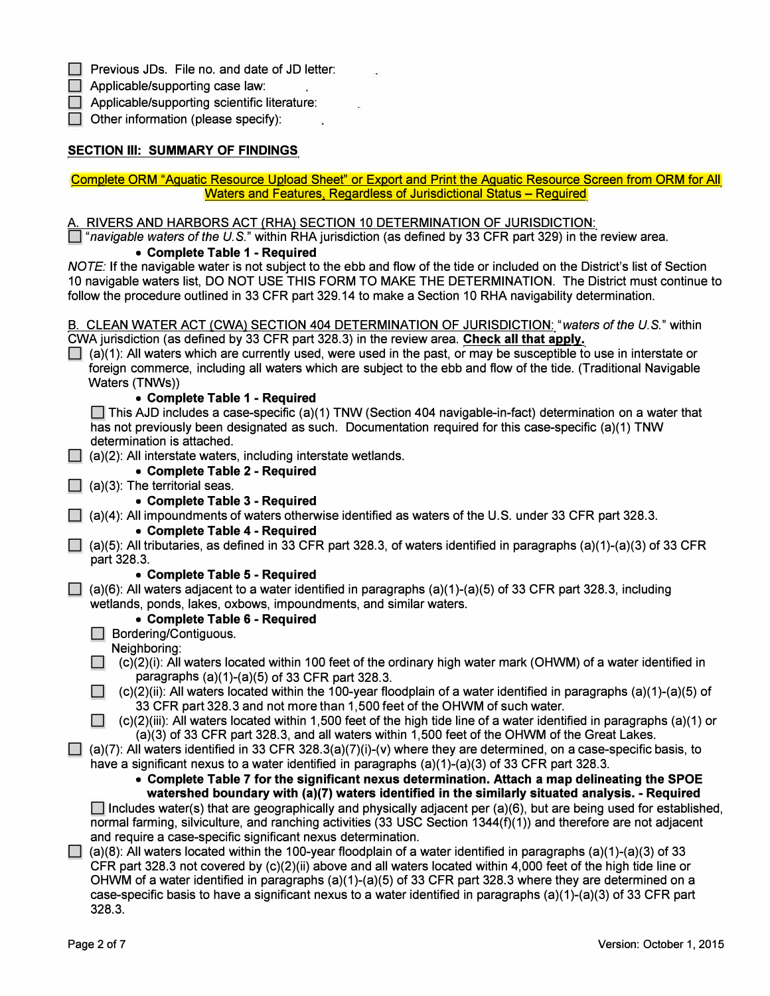$\Box$  Previous JDs. File no. and date of JD letter:

 $\Box$  Applicable/supporting case law:

 $\Box$  Applicable/supporting scientific literature:

 $\Box$  Other information (please specify):

#### **SECTION III: SUMMARY OF FINDINGS**

Complete ORM "Aquatic Resource Upload Sheet" or Export and Print the Aquatic Resource Screen from ORM for All Waters and Features, Regardless of Jurisdictional Status - Required

#### A. RIVERS AND HARBORS ACT (RHA) SECTION 10 DETERMINATION OF JURISDICTION:

D *"navigable waters of the U.S."* within RHA jurisdiction (as defined by 33 CFR part 329) in the review area.

#### **• Complete Table 1 - Required**

*NOTE:* If the navigable water is not subject to the ebb and flow of the tide or included on the District's list of Section 10 navigable waters list, DO NOT USE THIS FORM TO MAKE THE DETERMINATION. The District must continue to follow the procedure outlined in 33 CFR part 329.14 to make a Section 10 RHA navigability determination.

B. CLEAN WATER ACT (CWA) SECTION 404 DETERMINATION OF JURISDICTION: *"waters of the U.S."* within CWA jurisdiction (as defined by 33 CFR part 328.3) in the review area. **Check all that apply.**

 $\Box$  (a)(1): All waters which are currently used, were used in the past, or may be susceptible to use in interstate or foreign commerce, including all waters which are subject to the ebb and flow of the tide. (Traditional Navigable Waters (TNWs))

## **• Complete Table 1 - Required**

| <u>- Solinniele Tapie i - Izeaaliea</u>                                                                    |
|------------------------------------------------------------------------------------------------------------|
| This AJD includes a case-specific (a)(1) TNW (Section 404 navigable-in-fact) determination on a water that |
| has not previously been designated as such. Documentation required for this case-specific (a)(1) TNW       |
| determination is attached.                                                                                 |
| $\Box$ (a)(2): All interstate waters, including interstate wetlands.                                       |
|                                                                                                            |

- **• Complete Table 2 - Required**
- $\Box$  (a)(3): The territorial seas.

#### **• Complete Table 3 - Required**

 $\Box$  (a)(4): All impoundments of waters otherwise identified as waters of the U.S. under 33 CFR part 328.3.

#### **• Complete Table 4 - Required**

 $\Box$  (a)(5): All tributaries, as defined in 33 CFR part 328.3, of waters identified in paragraphs (a)(1)-(a)(3) of 33 CFR part 328.3.

#### **• Complete Table 5 - Required**

| $\Box$ (a)(6): All waters adjacent to a water identified in paragraphs (a)(1)-(a)(5) of 33 CFR part 328.3, including |  |
|----------------------------------------------------------------------------------------------------------------------|--|
| wetlands, ponds, lakes, oxbows, impoundments, and similar waters.                                                    |  |

#### **• Complete Table 6 - Required**

 $\Box$  Bordering/Contiguous.

## Neighboring:

- $\Box$  (c)(2)(i): All waters located within 100 feet of the ordinary high water mark (OHWM) of a water identified in paragraphs  $(a)(1)-(a)(5)$  of 33 CFR part 328.3.
- $\Box$  (c)(2)(ii): All waters located within the 100-year floodplain of a water identified in paragraphs (a)(1)-(a)(5) of 33 CFR part 328.3 and not more than 1,500 feet of the OHWM of such water.

 $\Box$  (c)(2)(iii): All waters located within 1,500 feet of the high tide line of a water identified in paragraphs (a)(1) or (a)(3) of 33 CFR part 328.3, and all waters within 1,500 feet of the OHWM of the Great Lakes.

 $\Box$  (a)(7): All waters identified in 33 CFR 328.3(a)(7)(i)-(v) where they are determined, on a case-specific basis, to have a significant nexus to a water identified in paragraphs  $(a)(1)-(a)(3)$  of 33 CFR part 328.3.

**• Complete Table 7 for the significant nexus determination. Attach a map delineating the SPOE watershed boundary with (a)(7) waters identified in the similarly situated analysis. - Required**

 $\Box$  Includes water(s) that are geographically and physically adjacent per (a)(6), but are being used for established, normal farming, silviculture, and ranching activities (33 USC Section 1344(f)(1)) and therefore are not adjacent and require a case-specific significant nexus determination.

 $\Box$  (a)(8): All waters located within the 100-year floodplain of a water identified in paragraphs (a)(1)-(a)(3) of 33 CFR part 328.3 not covered by (c)(2)(ii) above and all waters located within 4,000 feet of the high tide line or OHWM of a water identified in paragraphs (a)(1)-(a)(5) of 33 CFR part 328.3 where they are determined on a case-specific basis to have a significant nexus to a water identified in paragraphs (a)(1 )-(a)(3) of 33 CFR part 328.3.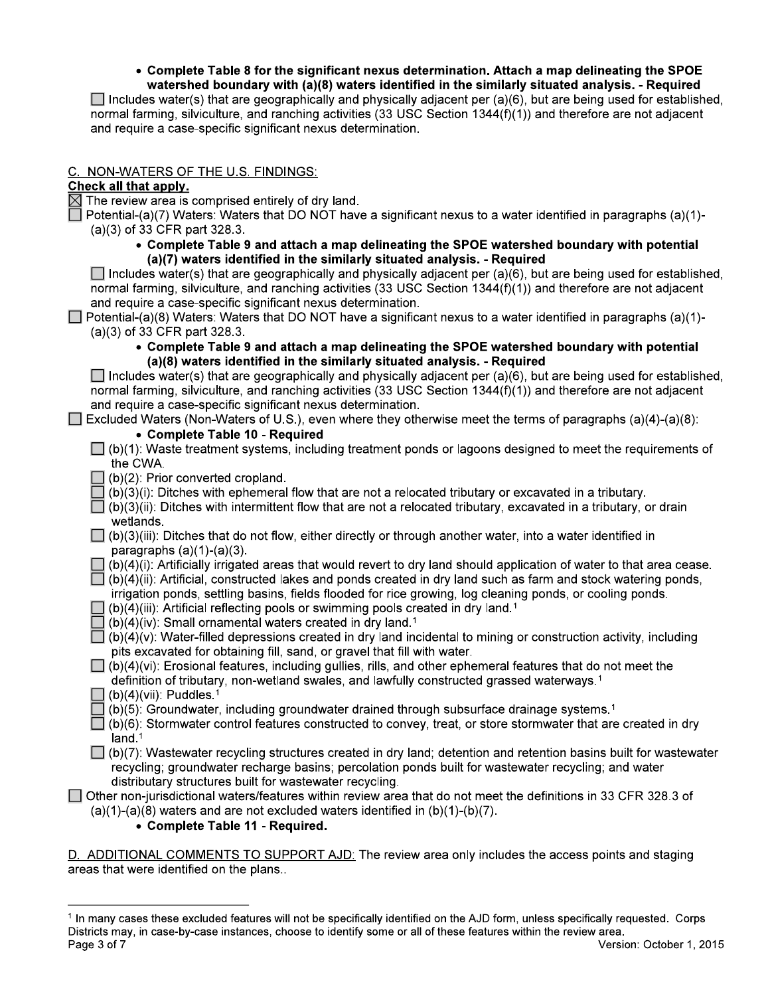#### • Complete Table 8 for the significant nexus determination. Attach a map delineating the SPOE watershed boundary with (a)(8) waters identified in the similarly situated analysis. - Required

 $\Box$  Includes water(s) that are geographically and physically adjacent per (a)(6), but are being used for established, normal farming, silviculture, and ranching activities (33 USC Section 1344(f)(1)) and therefore are not adjacent and require a case-specific significant nexus determination.

## C. NON-WATERS OF THE U.S. FINDINGS:

## Check all that apply.

 $\boxtimes$  The review area is comprised entirely of dry land.

 $\Box$  Potential-(a)(7) Waters: Waters that DO NOT have a significant nexus to a water identified in paragraphs (a)(1)- $(a)(3)$  of 33 CFR part 328.3.

## • Complete Table 9 and attach a map delineating the SPOE watershed boundary with potential (a)(7) waters identified in the similarly situated analysis. - Required

 $\Box$  Includes water(s) that are geographically and physically adjacent per (a)(6), but are being used for established, normal farming, silviculture, and ranching activities (33 USC Section 1344(f)(1)) and therefore are not adjacent and require a case-specific significant nexus determination.

Potential-(a)(8) Waters: Waters that DO NOT have a significant nexus to a water identified in paragraphs (a)(1)- $(a)(3)$  of 33 CFR part 328.3.

## • Complete Table 9 and attach a map delineating the SPOE watershed boundary with potential (a)(8) waters identified in the similarly situated analysis. - Required

 $\Box$  Includes water(s) that are geographically and physically adiacent per (a)(6), but are being used for established. normal farming, silviculture, and ranching activities (33 USC Section 1344(f)(1)) and therefore are not adjacent and require a case-specific significant nexus determination.

 $\Box$  Excluded Waters (Non-Waters of U.S.), even where they otherwise meet the terms of paragraphs (a)(4)-(a)(8):

## • Complete Table 10 - Required

| $\Box$ (b)(1): Waste treatment systems, including treatment ponds or lagoons designed to meet the requirements of |  |  |  |
|-------------------------------------------------------------------------------------------------------------------|--|--|--|
| the CWA.                                                                                                          |  |  |  |

 $\Box$  (b)(2): Prior converted cropland.

 $\exists$  (b)(3)(i): Ditches with ephemeral flow that are not a relocated tributary or excavated in a tributary.

 $\Box$  (b)(3)(ii): Ditches with intermittent flow that are not a relocated tributary, excavated in a tributary, or drain wetlands.

 $\Box$  (b)(3)(iii): Ditches that do not flow, either directly or through another water, into a water identified in paragraphs  $(a)(1)-(a)(3)$ .

|  | $\rfloor$ (b)(4)(i): Artificially irrigated areas that would revert to dry land should application of water to that area cease.   |
|--|-----------------------------------------------------------------------------------------------------------------------------------|
|  |                                                                                                                                   |
|  |                                                                                                                                   |
|  | $\langle h \rangle$ (A)(A)(ii); Artificial, constructed lakes and pends created in dry land such as farm and stock watering pends |

- $\Box$  (b)(4)(ii): Artificial, constructed lakes and ponds created in dry land such as farm and stock watering ponds, irrigation ponds, settling basins, fields flooded for rice growing, log cleaning ponds, or cooling ponds.
- $\Box$  (b)(4)(iii): Artificial reflecting pools or swimming pools created in dry land.<sup>1</sup>
- $\Box$  (b)(4)(iv): Small ornamental waters created in dry land.<sup>1</sup>

| — \ /\ /\ /                                                                                                             |  |
|-------------------------------------------------------------------------------------------------------------------------|--|
| $\Box$ (b)(4)(v): Water-filled depressions created in dry land incidental to mining or construction activity, including |  |
|                                                                                                                         |  |
| pits excavated for obtaining fill, sand, or gravel that fill with water.                                                |  |

 $\Box$  (b)(4)(vi): Erosional features, including gullies, rills, and other ephemeral features that do not meet the definition of tributary, non-wetland swales, and lawfully constructed grassed waterways.<sup>1</sup>

 $\Box$  (b)(4)(vii): Puddles.<sup>1</sup>

 $\Box$  (b)(5): Groundwater, including groundwater drained through subsurface drainage systems.<sup>1</sup>

 $\Box$  (b)(6): Stormwater control features constructed to convey, treat, or store stormwater that are created in dry land  $<sup>1</sup>$ </sup>

 $\Box$  (b)(7): Wastewater recycling structures created in dry land; detention and retention basins built for wastewater recycling; groundwater recharge basins; percolation ponds built for wastewater recycling; and water distributary structures built for wastewater recycling.

#### □ Other non-jurisdictional waters/features within review area that do not meet the definitions in 33 CFR 328.3 of  $(a)(1)-(a)(8)$  waters and are not excluded waters identified in  $(b)(1)-(b)(7)$ .

## • Complete Table 11 - Required.

D. ADDITIONAL COMMENTS TO SUPPORT AJD: The review area only includes the access points and staging areas that were identified on the plans..

<sup>&</sup>lt;sup>1</sup> In many cases these excluded features will not be specifically identified on the AJD form, unless specifically requested. Corps Districts may, in case-by-case instances, choose to identify some or all of these features within the review area. Page 3 of 7 Version: October 1, 2015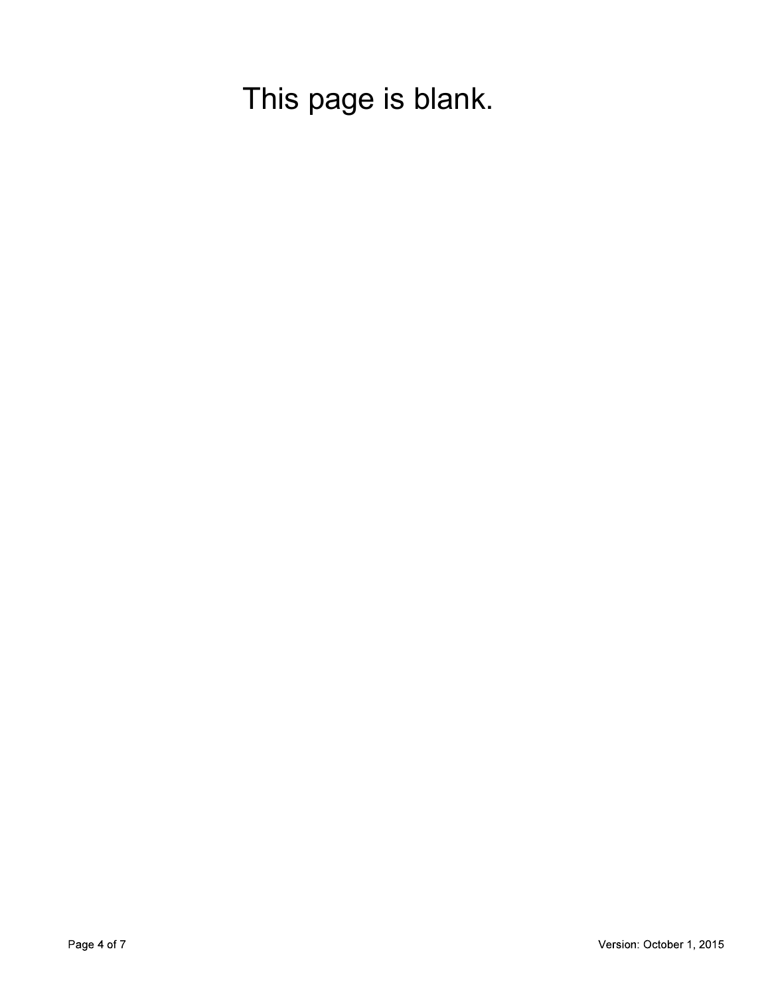This page is blank.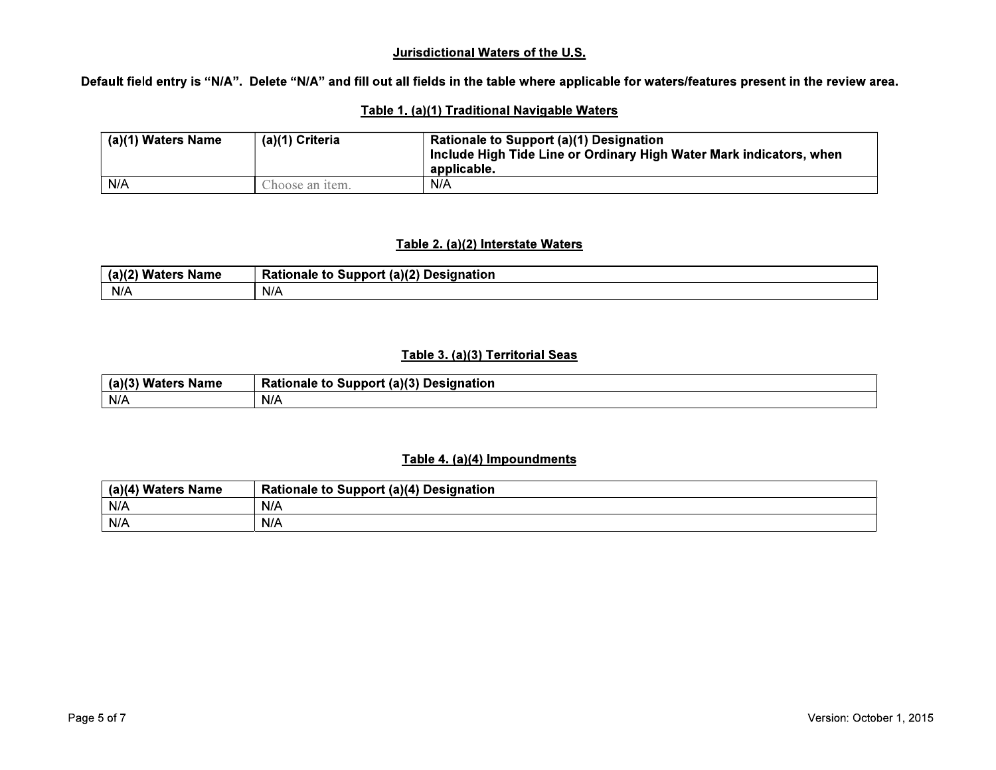### Jurisdictional Waters of the U.S.

Default field entry is "N/A". Delete "N/A" and fill out all fields in the table where applicable for waters/features present in the review area.

#### Table 1. (a)(1) Traditional Navigable Waters

| (a)(1) Waters Name | (a)(1) Criteria | Rationale to Support (a)(1) Designation<br>Include High Tide Line or Ordinary High Water Mark indicators, when<br>' applicable. |
|--------------------|-----------------|---------------------------------------------------------------------------------------------------------------------------------|
| N/A                | Choose an item. | N/A                                                                                                                             |

## Table 2. (a)(2) Interstate Waters

| (a)(7)<br><b>Waters</b><br>∵Name | Rationale to Support (a)(2)<br>Designation |
|----------------------------------|--------------------------------------------|
| N/A                              | N/A                                        |

# Table 3. (a)(3) Territorial Seas

| (a)(3) Waters Name | Rationale to Support (a)(3) Designation |
|--------------------|-----------------------------------------|
| N/A                | N/A                                     |

## Table 4. (a)(4) Impoundments

| <sup>∣</sup> (a)(4) Waters Name | <b>Rationale to Support (a)(4) Designation</b> |
|---------------------------------|------------------------------------------------|
| N/A                             | N/A                                            |
| N/A                             | N/A                                            |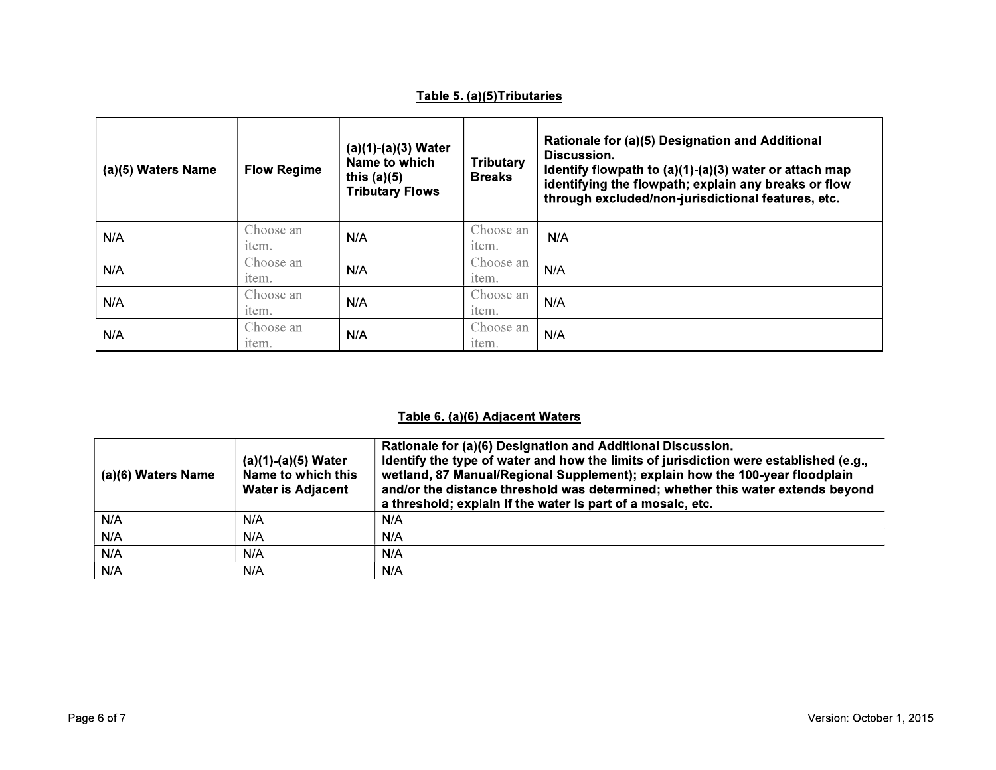# Table 5. (a)(5)Tributaries

| (a)(5) Waters Name | <b>Flow Regime</b>             | $(a)(1)-(a)(3)$ Water<br>Name to which<br>this $(a)(5)$<br><b>Tributary Flows</b> | Tributary<br><b>Breaks</b> | Rationale for (a)(5) Designation and Additional<br>Discussion.<br>Identify flowpath to $(a)(1)-(a)(3)$ water or attach map<br>identifying the flowpath; explain any breaks or flow<br>through excluded/non-jurisdictional features, etc. |
|--------------------|--------------------------------|-----------------------------------------------------------------------------------|----------------------------|------------------------------------------------------------------------------------------------------------------------------------------------------------------------------------------------------------------------------------------|
| N/A                | Choose an<br><sub>1</sub> tem. | N/A                                                                               | Choose an<br>item.         | N/A                                                                                                                                                                                                                                      |
| N/A                | Choose an<br>item.             | N/A                                                                               | Choose an<br>item.         | N/A                                                                                                                                                                                                                                      |
| N/A                | Choose an<br>item.             | N/A                                                                               | Choose an<br>item.         | N/A                                                                                                                                                                                                                                      |
| N/A                | Choose an<br>item.             | N/A                                                                               | Choose an<br>item.         | N/A                                                                                                                                                                                                                                      |

## Table 6. (a)(6) Adjacent Waters

| (a)(6) Waters Name | $(a)(1)-(a)(5)$ Water<br>Name to which this<br><b>Water is Adjacent</b> | Rationale for (a)(6) Designation and Additional Discussion.<br>ldentify the type of water and how the limits of jurisdiction were established (e.g.,<br>wetland, 87 Manual/Regional Supplement); explain how the 100-year floodplain<br>and/or the distance threshold was determined; whether this water extends beyond<br>a threshold; explain if the water is part of a mosaic, etc. |
|--------------------|-------------------------------------------------------------------------|----------------------------------------------------------------------------------------------------------------------------------------------------------------------------------------------------------------------------------------------------------------------------------------------------------------------------------------------------------------------------------------|
| N/A                | N/A                                                                     | N/A                                                                                                                                                                                                                                                                                                                                                                                    |
| N/A                | N/A                                                                     | N/A                                                                                                                                                                                                                                                                                                                                                                                    |
| N/A                | N/A                                                                     | N/A                                                                                                                                                                                                                                                                                                                                                                                    |
| N/A                | N/A                                                                     | N/A                                                                                                                                                                                                                                                                                                                                                                                    |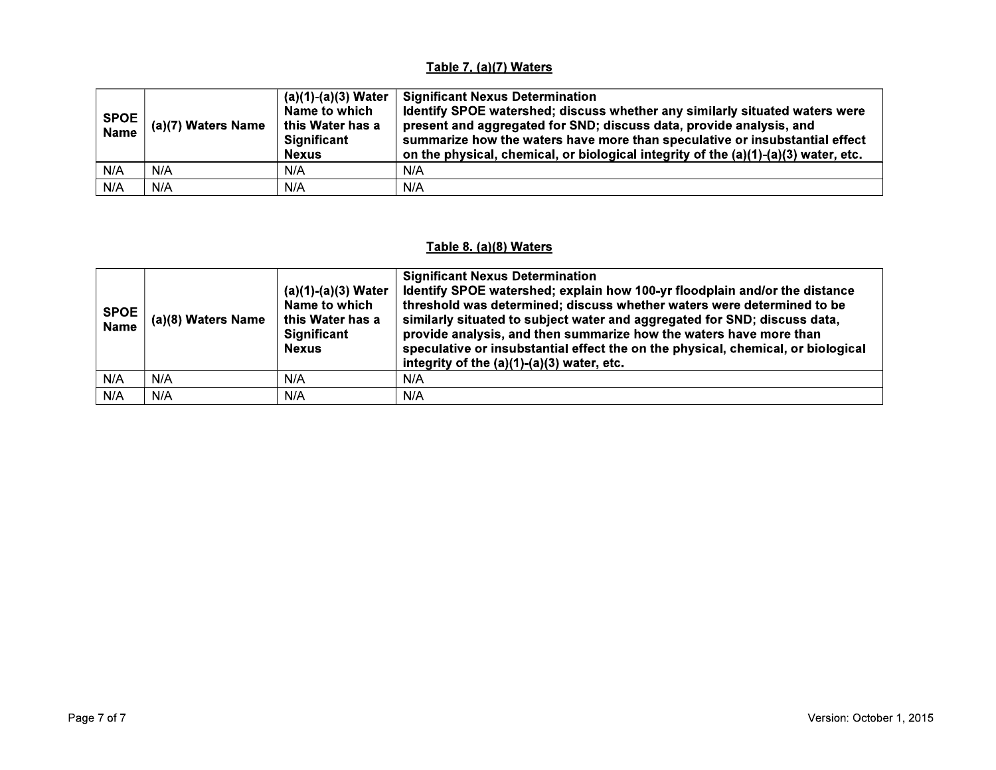## Table 7. (a)(7) Waters

| <b>SPOE</b><br><b>Name</b> | (a)(7) Waters Name | $(a)(1)-(a)(3)$ Water<br>Name to which<br>this Water has a<br><b>Significant</b><br><b>Nexus</b> | <b>Significant Nexus Determination</b><br>Identify SPOE watershed; discuss whether any similarly situated waters were<br>present and aggregated for SND; discuss data, provide analysis, and<br>summarize how the waters have more than speculative or insubstantial effect<br>on the physical, chemical, or biological integrity of the (a)(1)-(a)(3) water, etc. |
|----------------------------|--------------------|--------------------------------------------------------------------------------------------------|--------------------------------------------------------------------------------------------------------------------------------------------------------------------------------------------------------------------------------------------------------------------------------------------------------------------------------------------------------------------|
| N/A                        | N/A                | N/A                                                                                              | N/A                                                                                                                                                                                                                                                                                                                                                                |
| N/A                        | N/A                | N/A                                                                                              | N/A                                                                                                                                                                                                                                                                                                                                                                |

# Table 8. (a)(8) Waters

| <b>SPOE</b><br><b>Name</b> | (a)(8) Waters Name | $(a)(1)-(a)(3)$ Water<br>Name to which<br>this Water has a<br><b>Significant</b><br><b>Nexus</b> | <b>Significant Nexus Determination</b><br>Identify SPOE watershed; explain how 100-yr floodplain and/or the distance<br>threshold was determined; discuss whether waters were determined to be<br>similarly situated to subject water and aggregated for SND; discuss data,<br>provide analysis, and then summarize how the waters have more than<br>speculative or insubstantial effect the on the physical, chemical, or biological<br>integrity of the $(a)(1)-(a)(3)$ water, etc. |
|----------------------------|--------------------|--------------------------------------------------------------------------------------------------|---------------------------------------------------------------------------------------------------------------------------------------------------------------------------------------------------------------------------------------------------------------------------------------------------------------------------------------------------------------------------------------------------------------------------------------------------------------------------------------|
| N/A                        | N/A                | N/A                                                                                              | N/A                                                                                                                                                                                                                                                                                                                                                                                                                                                                                   |
| N/A                        | N/A                | N/A                                                                                              | N/A                                                                                                                                                                                                                                                                                                                                                                                                                                                                                   |